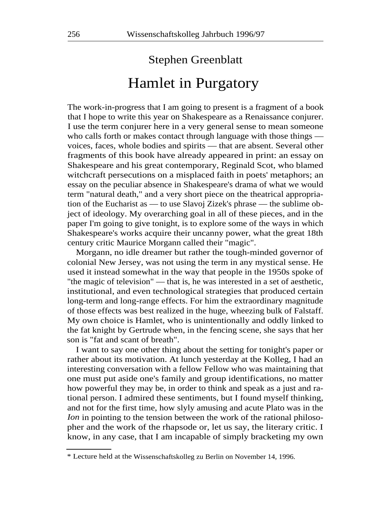## Stephen Greenblatt Hamlet in Purgatory

The work-in-progress that I am going to present is a fragment of a book that I hope to write this year on Shakespeare as a Renaissance conjurer. I use the term conjurer here in a very general sense to mean someone who calls forth or makes contact through language with those things voices, faces, whole bodies and spirits — that are absent. Several other fragments of this book have already appeared in print: an essay on Shakespeare and his great contemporary, Reginald Scot, who blamed witchcraft persecutions on a misplaced faith in poets' metaphors; an essay on the peculiar absence in Shakespeare's drama of what we would term "natural death," and a very short piece on the theatrical appropriation of the Eucharist as — to use Slavoj Zizek's phrase — the sublime object of ideology. My overarching goal in all of these pieces, and in the paper I'm going to give tonight, is to explore some of the ways in which Shakespeare's works acquire their uncanny power, what the great 18th century critic Maurice Morgann called their "magic".

Morgann, no idle dreamer but rather the tough-minded governor of colonial New Jersey, was not using the term in any mystical sense. He used it instead somewhat in the way that people in the 1950s spoke of "the magic of television" — that is, he was interested in a set of aesthetic, institutional, and even technological strategies that produced certain long-term and long-range effects. For him the extraordinary magnitude of those effects was best realized in the huge, wheezing bulk of Falstaff. My own choice is Hamlet, who is unintentionally and oddly linked to the fat knight by Gertrude when, in the fencing scene, she says that her son is "fat and scant of breath".

I want to say one other thing about the setting for tonight's paper or rather about its motivation. At lunch yesterday at the Kolleg, I had an interesting conversation with a fellow Fellow who was maintaining that one must put aside one's family and group identifications, no matter how powerful they may be, in order to think and speak as a just and rational person. I admired these sentiments, but I found myself thinking, and not for the first time, how slyly amusing and acute Plato was in the *Ion* in pointing to the tension between the work of the rational philosopher and the work of the rhapsode or, let us say, the literary critic. I know, in any case, that I am incapable of simply bracketing my own

<sup>\*</sup> Lecture held at the Wissenschaftskolleg zu Berlin on November 14, 1996.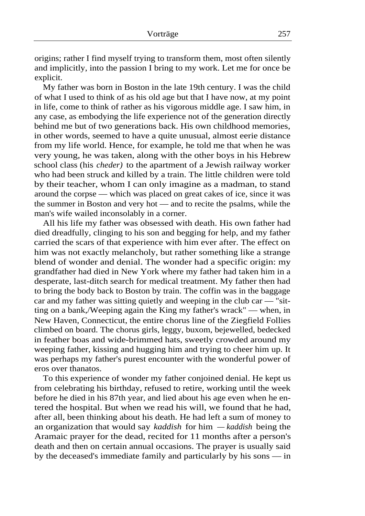origins; rather I find myself trying to transform them, most often silently and implicitly, into the passion I bring to my work. Let me for once be explicit.

My father was born in Boston in the late 19th century. I was the child of what I used to think of as his old age but that I have now, at my point in life, come to think of rather as his vigorous middle age. I saw him, in any case, as embodying the life experience not of the generation directly behind me but of two generations back. His own childhood memories, in other words, seemed to have a quite unusual, almost eerie distance from my life world. Hence, for example, he told me that when he was very young, he was taken, along with the other boys in his Hebrew school class (his *cheder)* to the apartment of a Jewish railway worker who had been struck and killed by a train. The little children were told by their teacher, whom I can only imagine as a madman, to stand around the corpse — which was placed on great cakes of ice, since it was the summer in Boston and very hot — and to recite the psalms, while the man's wife wailed inconsolably in a corner.

All his life my father was obsessed with death. His own father had died dreadfully, clinging to his son and begging for help, and my father carried the scars of that experience with him ever after. The effect on him was not exactly melancholy, but rather something like a strange blend of wonder and denial. The wonder had a specific origin: my grandfather had died in New York where my father had taken him in a desperate, last-ditch search for medical treatment. My father then had to bring the body back to Boston by train. The coffin was in the baggage car and my father was sitting quietly and weeping in the club car — "sitting on a bank,/Weeping again the King my father's wrack" — when, in New Haven, Connecticut, the entire chorus line of the Ziegfield Follies climbed on board. The chorus girls, leggy, buxom, bejewelled, bedecked in feather boas and wide-brimmed hats, sweetly crowded around my weeping father, kissing and hugging him and trying to cheer him up. It was perhaps my father's purest encounter with the wonderful power of eros over thanatos.

To this experience of wonder my father conjoined denial. He kept us from celebrating his birthday, refused to retire, working until the week before he died in his 87th year, and lied about his age even when he entered the hospital. But when we read his will, we found that he had, after all, been thinking about his death. He had left a sum of money to an organization that would say *kaddish* for him *— kaddish* being the Aramaic prayer for the dead, recited for 11 months after a person's death and then on certain annual occasions. The prayer is usually said by the deceased's immediate family and particularly by his sons — in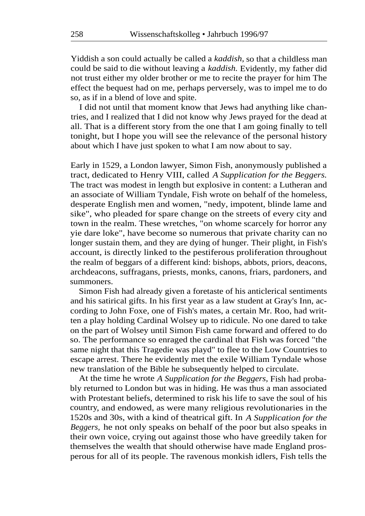Yiddish a son could actually be called a *kaddish,* so that a childless man could be said to die without leaving a *kaddish.* Evidently, my father did not trust either my older brother or me to recite the prayer for him The effect the bequest had on me, perhaps perversely, was to impel me to do so, as if in a blend of love and spite.

I did not until that moment know that Jews had anything like chantries, and I realized that I did not know why Jews prayed for the dead at all. That is a different story from the one that I am going finally to tell tonight, but I hope you will see the relevance of the personal history about which I have just spoken to what I am now about to say.

Early in 1529, a London lawyer, Simon Fish, anonymously published a tract, dedicated to Henry VIII, called *A Supplication for the Beggers.*  The tract was modest in length but explosive in content: a Lutheran and an associate of William Tyndale, Fish wrote on behalf of the homeless, desperate English men and women, "nedy, impotent, blinde lame and sike", who pleaded for spare change on the streets of every city and town in the realm. These wretches, "on whome scarcely for horror any yie dare loke", have become so numerous that private charity can no longer sustain them, and they are dying of hunger. Their plight, in Fish's account, is directly linked to the pestiferous proliferation throughout the realm of beggars of a different kind: bishops, abbots, priors, deacons, archdeacons, suffragans, priests, monks, canons, friars, pardoners, and summoners.

Simon Fish had already given a foretaste of his anticlerical sentiments and his satirical gifts. In his first year as a law student at Gray's Inn, according to John Foxe, one of Fish's mates, a certain Mr. Roo, had written a play holding Cardinal Wolsey up to ridicule. No one dared to take on the part of Wolsey until Simon Fish came forward and offered to do so. The performance so enraged the cardinal that Fish was forced "the same night that this Tragedie was playd" to flee to the Low Countries to escape arrest. There he evidently met the exile William Tyndale whose new translation of the Bible he subsequently helped to circulate.

At the time he wrote *A Supplication for the Beggers,* Fish had probably returned to London but was in hiding. He was thus a man associated with Protestant beliefs, determined to risk his life to save the soul of his country, and endowed, as were many religious revolutionaries in the 1520s and 30s, with a kind of theatrical gift. In *A Supplication for the Beggers,* he not only speaks on behalf of the poor but also speaks in their own voice, crying out against those who have greedily taken for themselves the wealth that should otherwise have made England prosperous for all of its people. The ravenous monkish idlers, Fish tells the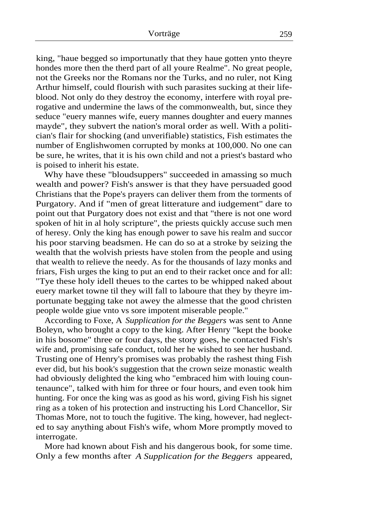king, "haue begged so importunatly that they haue gotten ynto theyre hondes more then the therd part of all youre Realme". No great people, not the Greeks nor the Romans nor the Turks, and no ruler, not King Arthur himself, could flourish with such parasites sucking at their lifeblood. Not only do they destroy the economy, interfere with royal prerogative and undermine the laws of the commonwealth, but, since they seduce "euery mannes wife, euery mannes doughter and euery mannes mayde", they subvert the nation's moral order as well. With a politician's flair for shocking (and unverifiable) statistics, Fish estimates the number of Englishwomen corrupted by monks at 100,000. No one can be sure, he writes, that it is his own child and not a priest's bastard who is poised to inherit his estate.

Why have these "bloudsuppers" succeeded in amassing so much wealth and power? Fish's answer is that they have persuaded good Christians that the Pope's prayers can deliver them from the torments of Purgatory. And if "men of great litterature and iudgement" dare to point out that Purgatory does not exist and that "there is not one word spoken of hit in al holy scripture", the priests quickly accuse such men of heresy. Only the king has enough power to save his realm and succor his poor starving beadsmen. He can do so at a stroke by seizing the wealth that the wolvish priests have stolen from the people and using that wealth to relieve the needy. As for the thousands of lazy monks and friars, Fish urges the king to put an end to their racket once and for all: "Tye these holy idell theues to the cartes to be whipped naked about euery market towne til they will fall to laboure that they by theyre importunate begging take not awey the almesse that the good christen people wolde giue vnto vs sore impotent miserable people."

According to Foxe, A *Supplication for the Beggers* was sent to Anne Boleyn, who brought a copy to the king. After Henry "kept the booke in his bosome" three or four days, the story goes, he contacted Fish's wife and, promising safe conduct, told her he wished to see her husband. Trusting one of Henry's promises was probably the rashest thing Fish ever did, but his book's suggestion that the crown seize monastic wealth had obviously delighted the king who "embraced him with louing countenaunce", talked with him for three or four hours, and even took him hunting. For once the king was as good as his word, giving Fish his signet ring as a token of his protection and instructing his Lord Chancellor, Sir Thomas More, not to touch the fugitive. The king, however, had neglected to say anything about Fish's wife, whom More promptly moved to interrogate.

More had known about Fish and his dangerous book, for some time. Only a few months after *A Supplication for the Beggers* appeared,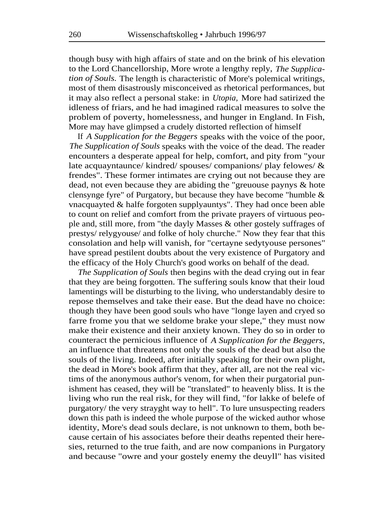though busy with high affairs of state and on the brink of his elevation to the Lord Chancellorship, More wrote a lengthy reply, *The Supplication of Souls.* The length is characteristic of More's polemical writings, most of them disastrously misconceived as rhetorical performances, but it may also reflect a personal stake: in *Utopia,* More had satirized the idleness of friars, and he had imagined radical measures to solve the problem of poverty, homelessness, and hunger in England. In Fish, More may have glimpsed a crudely distorted reflection of himself

If *A Supplication for the Beggers* speaks with the voice of the poor, *The Supplication of Souls* speaks with the voice of the dead. The reader encounters a desperate appeal for help, comfort, and pity from "your late acquayntaunce/ kindred/ spouses/ companions/ play felowes/ & frendes". These former intimates are crying out not because they are dead, not even because they are abiding the "greuouse paynys & hote clensynge fyre" of Purgatory, but because they have become "humble & vnacquayted & halfe forgoten supplyauntys". They had once been able to count on relief and comfort from the private prayers of virtuous people and, still more, from "the dayly Masses & other gostely suffrages of prestys/ relygyouse/ and folke of holy churche." Now they fear that this consolation and help will vanish, for "certayne sedytyouse persones" have spread pestilent doubts about the very existence of Purgatory and the efficacy of the Holy Church's good works on behalf of the dead.

*The Supplication of Souls* then begins with the dead crying out in fear that they are being forgotten. The suffering souls know that their loud lamentings will be disturbing to the living, who understandably desire to repose themselves and take their ease. But the dead have no choice: though they have been good souls who have "longe layen and cryed so farre frome you that we seldome brake your slepe," they must now make their existence and their anxiety known. They do so in order to counteract the pernicious influence of *A Supplication for the Beggers,*  an influence that threatens not only the souls of the dead but also the souls of the living. Indeed, after initially speaking for their own plight, the dead in More's book affirm that they, after all, are not the real victims of the anonymous author's venom, for when their purgatorial punishment has ceased, they will be "translated" to heavenly bliss. It is the living who run the real risk, for they will find, "for lakke of belefe of purgatory/ the very strayght way to hell". To lure unsuspecting readers down this path is indeed the whole purpose of the wicked author whose identity, More's dead souls declare, is not unknown to them, both because certain of his associates before their deaths repented their heresies, returned to the true faith, and are now companions in Purgatory and because "owre and your gostely enemy the deuyll" has visited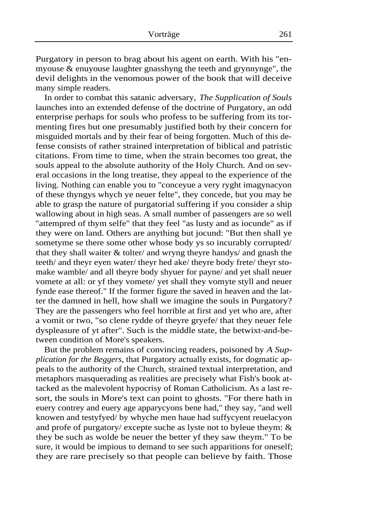Purgatory in person to brag about his agent on earth. With his "enmyouse & enuyouse laughter gnasshyng the teeth and grynnynge", the devil delights in the venomous power of the book that will deceive many simple readers.

In order to combat this satanic adversary, *The Supplication of Souls*  launches into an extended defense of the doctrine of Purgatory, an odd enterprise perhaps for souls who profess to be suffering from its tormenting fires but one presumably justified both by their concern for misguided mortals and by their fear of being forgotten. Much of this defense consists of rather strained interpretation of biblical and patristic citations. From time to time, when the strain becomes too great, the souls appeal to the absolute authority of the Holy Church. And on several occasions in the long treatise, they appeal to the experience of the living. Nothing can enable you to "conceyue a very ryght imagynacyon of these thyngys whych ye neuer felte", they concede, but you may be able to grasp the nature of purgatorial suffering if you consider a ship wallowing about in high seas. A small number of passengers are so well "attempred of thym selfe" that they feel "as lusty and as iocunde" as if they were on land. Others are anything but jocund: "But then shall ye sometyme se there some other whose body ys so incurably corrupted/ that they shall waiter & tolter/ and wryng theyre handys/ and gnash the teeth/ and theyr eyen water/ theyr hed ake/ theyre body frete/ theyr stomake wamble/ and all theyre body shyuer for payne/ and yet shall neuer vomete at all: or yf they vomete/ yet shall they vomyte styll and neuer fynde ease thereof." If the former figure the saved in heaven and the latter the damned in hell, how shall we imagine the souls in Purgatory? They are the passengers who feel horrible at first and yet who are, after a vomit or two, "so clene rydde of theyre gryefe/ that they neuer fele dyspleasure of yt after". Such is the middle state, the betwixt-and-between condition of More's speakers.

But the problem remains of convincing readers, poisoned by *A Supplication for the Beggers,* that Purgatory actually exists, for dogmatic appeals to the authority of the Church, strained textual interpretation, and metaphors masquerading as realities are precisely what Fish's book attacked as the malevolent hypocrisy of Roman Catholicism. As a last resort, the souls in More's text can point to ghosts. "For there hath in euery contrey and euery age apparycyons bene had," they say, "and well knowen and testyfyed/ by whyche men haue had suffycyent reuelacyon and profe of purgatory/ excepte suche as lyste not to byleue theym: & they be such as wolde be neuer the better yf they saw theym." To be sure, it would be impious to demand to see such apparitions for oneself; they are rare precisely so that people can believe by faith. Those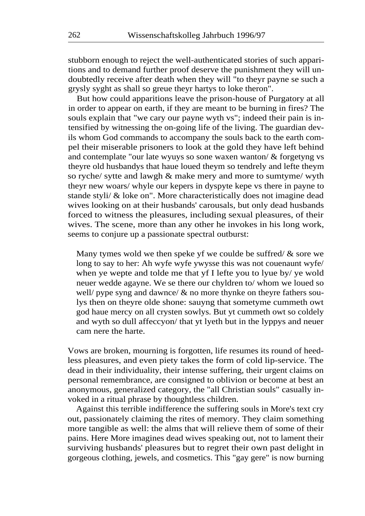stubborn enough to reject the well-authenticated stories of such apparitions and to demand further proof deserve the punishment they will undoubtedly receive after death when they will "to theyr payne se such a grysly syght as shall so greue theyr hartys to loke theron".

But how could apparitions leave the prison-house of Purgatory at all in order to appear on earth, if they are meant to be burning in fires? The souls explain that "we cary our payne wyth vs"; indeed their pain is intensified by witnessing the on-going life of the living. The guardian devils whom God commands to accompany the souls back to the earth compel their miserable prisoners to look at the gold they have left behind and contemplate "our late wyuys so sone waxen wanton/ & forgetyng vs theyre old husbandys that haue loued theym so tendrely and lefte theym so ryche/ sytte and lawgh & make mery and more to sumtyme/ wyth theyr new woars/ whyle our kepers in dyspyte kepe vs there in payne to stande styli/ & loke on". More characteristically does not imagine dead wives looking on at their husbands' carousals, but only dead husbands forced to witness the pleasures, including sexual pleasures, of their wives. The scene, more than any other he invokes in his long work, seems to conjure up a passionate spectral outburst:

Many tymes wold we then speke yf we coulde be suffred/  $&$  sore we long to say to her: Ah wyfe wyfe ywysse this was not couenaunt wyfe/ when ye wepte and tolde me that yf I lefte you to lyue by/ ye wold neuer wedde agayne. We se there our chyldren to/ whom we loued so well/ pype syng and dawnce/  $\&$  no more thynke on theyre fathers soulys then on theyre olde shone: sauyng that sometyme cummeth owt god haue mercy on all crysten sowlys. But yt cummeth owt so coldely and wyth so dull affeccyon/ that yt lyeth but in the lyppys and neuer cam nere the harte.

Vows are broken, mourning is forgotten, life resumes its round of heedless pleasures, and even piety takes the form of cold lip-service. The dead in their individuality, their intense suffering, their urgent claims on personal remembrance, are consigned to oblivion or become at best an anonymous, generalized category, the "all Christian souls" casually invoked in a ritual phrase by thoughtless children.

Against this terrible indifference the suffering souls in More's text cry out, passionately claiming the rites of memory. They claim something more tangible as well: the alms that will relieve them of some of their pains. Here More imagines dead wives speaking out, not to lament their surviving husbands' pleasures but to regret their own past delight in gorgeous clothing, jewels, and cosmetics. This "gay gere" is now burning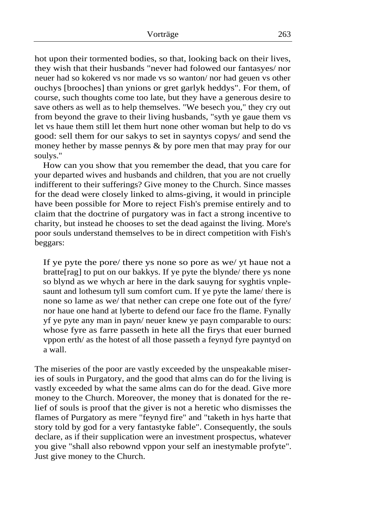hot upon their tormented bodies, so that, looking back on their lives, they wish that their husbands "never had folowed our fantasyes/ nor neuer had so kokered vs nor made vs so wanton/ nor had geuen vs other ouchys [brooches] than ynions or gret garlyk heddys". For them, of course, such thoughts come too late, but they have a generous desire to save others as well as to help themselves. "We besech you," they cry out from beyond the grave to their living husbands, "syth ye gaue them vs let vs haue them still let them hurt none other woman but help to do vs good: sell them for our sakys to set in sayntys copys/ and send the money hether by masse pennys & by pore men that may pray for our soulys."

How can you show that you remember the dead, that you care for your departed wives and husbands and children, that you are not cruelly indifferent to their sufferings? Give money to the Church. Since masses for the dead were closely linked to alms-giving, it would in principle have been possible for More to reject Fish's premise entirely and to claim that the doctrine of purgatory was in fact a strong incentive to charity, but instead he chooses to set the dead against the living. More's poor souls understand themselves to be in direct competition with Fish's beggars:

If ye pyte the pore/ there ys none so pore as we/ yt haue not a bratte[rag] to put on our bakkys. If ye pyte the blynde/ there ys none so blynd as we whych ar here in the dark sauyng for syghtis vnplesaunt and lothesum tyll sum comfort cum. If ye pyte the lame/ there is none so lame as we/ that nether can crepe one fote out of the fyre/ nor haue one hand at lyberte to defend our face fro the flame. Fynally yf ye pyte any man in payn/ neuer knew ye payn comparable to ours: whose fyre as farre passeth in hete all the firys that euer burned vppon erth/ as the hotest of all those passeth a feynyd fyre payntyd on a wall.

The miseries of the poor are vastly exceeded by the unspeakable miseries of souls in Purgatory, and the good that alms can do for the living is vastly exceeded by what the same alms can do for the dead. Give more money to the Church. Moreover, the money that is donated for the relief of souls is proof that the giver is not a heretic who dismisses the flames of Purgatory as mere "feynyd fire" and "taketh in hys harte that story told by god for a very fantastyke fable". Consequently, the souls declare, as if their supplication were an investment prospectus, whatever you give "shall also rebownd vppon your self an inestymable profyte". Just give money to the Church.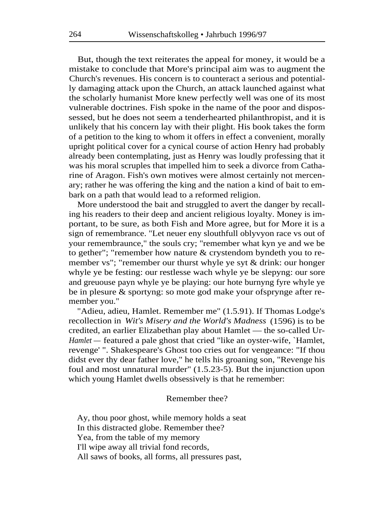But, though the text reiterates the appeal for money, it would be a mistake to conclude that More's principal aim was to augment the Church's revenues. His concern is to counteract a serious and potentially damaging attack upon the Church, an attack launched against what the scholarly humanist More knew perfectly well was one of its most vulnerable doctrines. Fish spoke in the name of the poor and dispossessed, but he does not seem a tenderhearted philanthropist, and it is unlikely that his concern lay with their plight. His book takes the form of a petition to the king to whom it offers in effect a convenient, morally upright political cover for a cynical course of action Henry had probably already been contemplating, just as Henry was loudly professing that it was his moral scruples that impelled him to seek a divorce from Catharine of Aragon. Fish's own motives were almost certainly not mercenary; rather he was offering the king and the nation a kind of bait to embark on a path that would lead to a reformed religion.

More understood the bait and struggled to avert the danger by recalling his readers to their deep and ancient religious loyalty. Money is important, to be sure, as both Fish and More agree, but for More it is a sign of remembrance. "Let neuer eny slouthfull oblyvyon race vs out of your remembraunce," the souls cry; "remember what kyn ye and we be to gether"; "remember how nature & crystendom byndeth you to remember vs"; "remember our thurst whyle ye syt & drink: our honger whyle ye be festing: our restlesse wach whyle ye be slepyng: our sore and greuouse payn whyle ye be playing: our hote burnyng fyre whyle ye be in plesure & sportyng: so mote god make your ofsprynge after remember you."

"Adieu, adieu, Hamlet. Remember me" (1.5.91). If Thomas Lodge's recollection in *Wit's Misery and the World's Madness* (1596) is to be credited, an earlier Elizabethan play about Hamlet — the so-called Ur-*Hamlet* — featured a pale ghost that cried "like an oyster-wife, `Hamlet, revenge' ". Shakespeare's Ghost too cries out for vengeance: "If thou didst ever thy dear father love," he tells his groaning son, "Revenge his foul and most unnatural murder" (1.5.23-5). But the injunction upon which young Hamlet dwells obsessively is that he remember:

Remember thee?

Ay, thou poor ghost, while memory holds a seat In this distracted globe. Remember thee? Yea, from the table of my memory I'll wipe away all trivial fond records, All saws of books, all forms, all pressures past,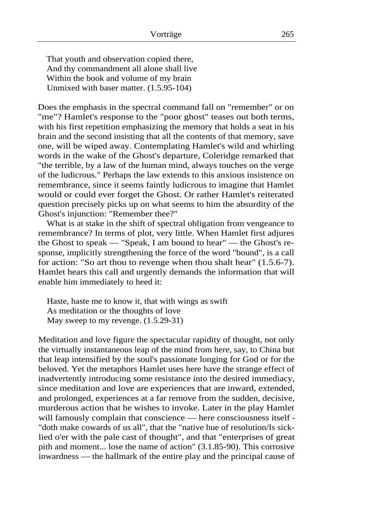That youth and observation copied there, And thy commandment all alone shall live Within the book and volume of my brain Unmixed with baser matter. (1.5.95-104)

Does the emphasis in the spectral command fall on "remember" or on "me"? Hamlet's response to the "poor ghost" teases out both terms, with his first repetition emphasizing the memory that holds a seat in his brain and the second insisting that all the contents of that memory, save one, will be wiped away. Contemplating Hamlet's wild and whirling words in the wake of the Ghost's departure, Coleridge remarked that "the terrible, by a law of the human mind, always touches on the verge of the ludicrous." Perhaps the law extends to this anxious insistence on remembrance, since it seems faintly ludicrous to imagine that Hamlet would or could ever forget the Ghost. Or rather Hamlet's reiterated question precisely picks up on what seems to him the absurdity of the Ghost's injunction: "Remember thee?"

What is at stake in the shift of spectral obligation from vengeance to remembrance? In terms of plot, very little. When Hamlet first adjures the Ghost to speak — "Speak, I am bound to hear" — the Ghost's response, implicitly strengthening the force of the word "bound", is a call for action: "So art thou to revenge when thou shalt hear" (1.5.6-7). Hamlet hears this call and urgently demands the information that will enable him immediately to heed it:

Haste, haste me to know it, that with wings as swift As meditation or the thoughts of love May sweep to my revenge. (1.5.29-31)

Meditation and love figure the spectacular rapidity of thought, not only the virtually instantaneous leap of the mind from here, say, to China but that leap intensified by the soul's passionate longing for God or for the beloved. Yet the metaphors Hamlet uses here have the strange effect of inadvertently introducing some resistance into the desired immediacy, since meditation and love are experiences that are inward, extended, and prolonged, experiences at a far remove from the sudden, decisive, murderous action that he wishes to invoke. Later in the play Hamlet will famously complain that conscience — here consciousness itself - "doth make cowards of us all", that the "native hue of resolution/Is sicklied o'er with the pale cast of thought", and that "enterprises of great pith and moment... lose the name of action" (3.1.85-90). This corrosive inwardness — the hallmark of the entire play and the principal cause of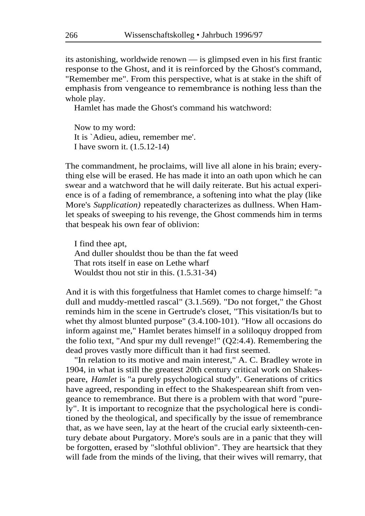its astonishing, worldwide renown — is glimpsed even in his first frantic response to the Ghost, and it is reinforced by the Ghost's command, "Remember me". From this perspective, what is at stake in the shift of emphasis from vengeance to remembrance is nothing less than the whole play.

Hamlet has made the Ghost's command his watchword:

Now to my word: It is `Adieu, adieu, remember me'. I have sworn it. (1.5.12-14)

The commandment, he proclaims, will live all alone in his brain; everything else will be erased. He has made it into an oath upon which he can swear and a watchword that he will daily reiterate. But his actual experience is of a fading of remembrance, a softening into what the play (like More's *Supplication)* repeatedly characterizes as dullness. When Hamlet speaks of sweeping to his revenge, the Ghost commends him in terms that bespeak his own fear of oblivion:

I find thee apt, And duller shouldst thou be than the fat weed That rots itself in ease on Lethe wharf Wouldst thou not stir in this. (1.5.31-34)

And it is with this forgetfulness that Hamlet comes to charge himself: "a dull and muddy-mettled rascal" (3.1.569). "Do not forget," the Ghost reminds him in the scene in Gertrude's closet, "This visitation/Is but to whet thy almost blunted purpose" (3.4.100-101). "How all occasions do inform against me," Hamlet berates himself in a soliloquy dropped from the folio text, "And spur my dull revenge!" (Q2:4.4). Remembering the dead proves vastly more difficult than it had first seemed.

"In relation to its motive and main interest," A. C. Bradley wrote in 1904, in what is still the greatest 20th century critical work on Shakespeare, *Hamlet* is "a purely psychological study". Generations of critics have agreed, responding in effect to the Shakespearean shift from vengeance to remembrance. But there is a problem with that word "purely". It is important to recognize that the psychological here is conditioned by the theological, and specifically by the issue of remembrance that, as we have seen, lay at the heart of the crucial early sixteenth-century debate about Purgatory. More's souls are in a panic that they will be forgotten, erased by "slothful oblivion". They are heartsick that they will fade from the minds of the living, that their wives will remarry, that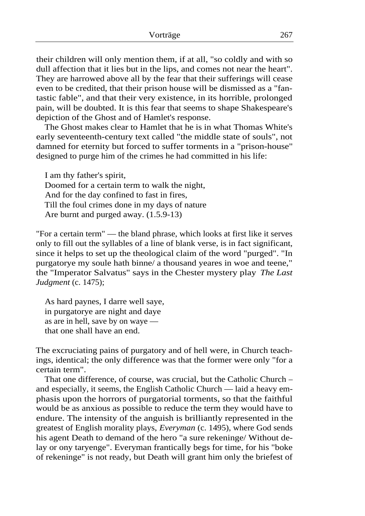their children will only mention them, if at all, "so coldly and with so dull affection that it lies but in the lips, and comes not near the heart". They are harrowed above all by the fear that their sufferings will cease even to be credited, that their prison house will be dismissed as a "fantastic fable", and that their very existence, in its horrible, prolonged pain, will be doubted. It is this fear that seems to shape Shakespeare's depiction of the Ghost and of Hamlet's response.

The Ghost makes clear to Hamlet that he is in what Thomas White's early seventeenth-century text called "the middle state of souls", not damned for eternity but forced to suffer torments in a "prison-house" designed to purge him of the crimes he had committed in his life:

I am thy father's spirit, Doomed for a certain term to walk the night, And for the day confined to fast in fires, Till the foul crimes done in my days of nature Are burnt and purged away. (1.5.9-13)

"For a certain term" — the bland phrase, which looks at first like it serves only to fill out the syllables of a line of blank verse, is in fact significant, since it helps to set up the theological claim of the word "purged". "In purgatorye my soule hath binne/ a thousand yeares in woe and teene," the "Imperator Salvatus" says in the Chester mystery play *The Last Judgment* (c. 1475);

As hard paynes, I darre well saye, in purgatorye are night and daye as are in hell, save by on waye that one shall have an end.

The excruciating pains of purgatory and of hell were, in Church teachings, identical; the only difference was that the former were only "for a certain term".

That one difference, of course, was crucial, but the Catholic Church and especially, it seems, the English Catholic Church — laid a heavy emphasis upon the horrors of purgatorial torments, so that the faithful would be as anxious as possible to reduce the term they would have to endure. The intensity of the anguish is brilliantly represented in the greatest of English morality plays, *Everyman* (c. 1495), where God sends his agent Death to demand of the hero "a sure rekeninge/ Without delay or ony taryenge". Everyman frantically begs for time, for his "boke of rekeninge" is not ready, but Death will grant him only the briefest of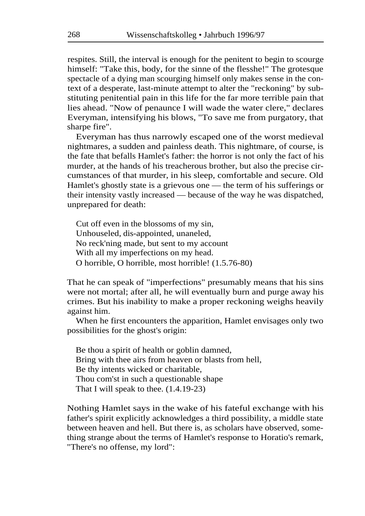respites. Still, the interval is enough for the penitent to begin to scourge himself: "Take this, body, for the sinne of the flesshe!" The grotesque spectacle of a dying man scourging himself only makes sense in the context of a desperate, last-minute attempt to alter the "reckoning" by substituting penitential pain in this life for the far more terrible pain that lies ahead. "Now of penaunce I will wade the water clere," declares Everyman, intensifying his blows, "To save me from purgatory, that sharpe fire".

Everyman has thus narrowly escaped one of the worst medieval nightmares, a sudden and painless death. This nightmare, of course, is the fate that befalls Hamlet's father: the horror is not only the fact of his murder, at the hands of his treacherous brother, but also the precise circumstances of that murder, in his sleep, comfortable and secure. Old Hamlet's ghostly state is a grievous one — the term of his sufferings or their intensity vastly increased — because of the way he was dispatched, unprepared for death:

Cut off even in the blossoms of my sin, Unhouseled, dis-appointed, unaneled, No reck'ning made, but sent to my account With all my imperfections on my head. O horrible, O horrible, most horrible! (1.5.76-80)

That he can speak of "imperfections" presumably means that his sins were not mortal; after all, he will eventually burn and purge away his crimes. But his inability to make a proper reckoning weighs heavily against him.

When he first encounters the apparition, Hamlet envisages only two possibilities for the ghost's origin:

Be thou a spirit of health or goblin damned, Bring with thee airs from heaven or blasts from hell, Be thy intents wicked or charitable, Thou com'st in such a questionable shape That I will speak to thee. (1.4.19-23)

Nothing Hamlet says in the wake of his fateful exchange with his father's spirit explicitly acknowledges a third possibility, a middle state between heaven and hell. But there is, as scholars have observed, something strange about the terms of Hamlet's response to Horatio's remark, "There's no offense, my lord":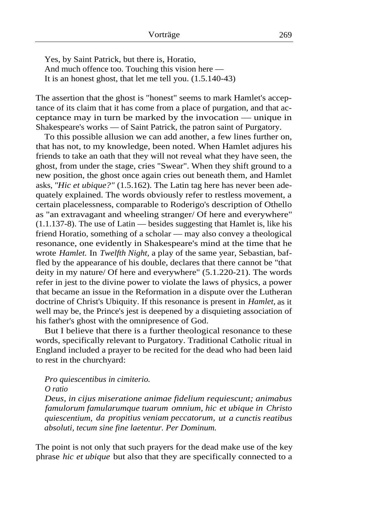Yes, by Saint Patrick, but there is, Horatio, And much offence too. Touching this vision here — It is an honest ghost, that let me tell you. (1.5.140-43)

The assertion that the ghost is "honest" seems to mark Hamlet's acceptance of its claim that it has come from a place of purgation, and that acceptance may in turn be marked by the invocation — unique in Shakespeare's works — of Saint Patrick, the patron saint of Purgatory.

To this possible allusion we can add another, a few lines further on, that has not, to my knowledge, been noted. When Hamlet adjures his friends to take an oath that they will not reveal what they have seen, the ghost, from under the stage, cries "Swear". When they shift ground to a new position, the ghost once again cries out beneath them, and Hamlet asks, *"Hic et ubique?"* (1.5.162). The Latin tag here has never been adequately explained. The words obviously refer to restless movement, a certain placelessness, comparable to Roderigo's description of Othello as "an extravagant and wheeling stranger/ Of here and everywhere" (1.1.137-8). The use of Latin — besides suggesting that Hamlet is, like his friend Horatio, something of a scholar — may also convey a theological resonance, one evidently in Shakespeare's mind at the time that he wrote *Hamlet.* In *Twelfth Night,* a play of the same year, Sebastian, baffled by the appearance of his double, declares that there cannot be "that deity in my nature/ Of here and everywhere" (5.1.220-21). The words refer in jest to the divine power to violate the laws of physics, a power that became an issue in the Reformation in a dispute over the Lutheran doctrine of Christ's Ubiquity. If this resonance is present in *Hamlet,* as it well may be, the Prince's jest is deepened by a disquieting association of his father's ghost with the omnipresence of God.

But I believe that there is a further theological resonance to these words, specifically relevant to Purgatory. Traditional Catholic ritual in England included a prayer to be recited for the dead who had been laid to rest in the churchyard:

*Pro quiescentibus in cimiterio.* 

*O ratio* 

*Deus, in cijus miseratione animae fidelium requiescunt; animabus famulorum famularumque tuarum omnium, hic et ubique in Christo quiescentium, da propitius veniam peccatorum, ut a cunctis reatibus absoluti, tecum sine fine laetentur. Per Dominum.* 

The point is not only that such prayers for the dead make use of the key phrase *hic et ubique* but also that they are specifically connected to a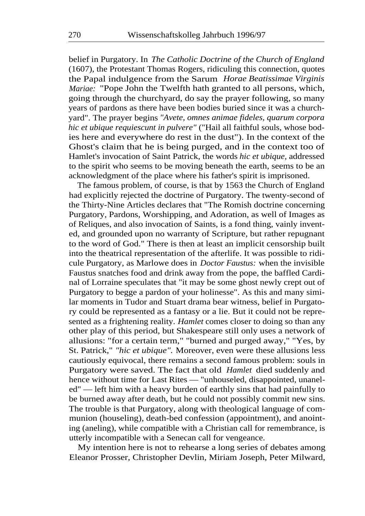belief in Purgatory. In *The Catholic Doctrine of the Church of England*  (1607), the Protestant Thomas Rogers, ridiculing this connection, quotes the Papal indulgence from the Sarum *Horae Beatissimae Virginis Mariae:* "Pope John the Twelfth hath granted to all persons, which, going through the churchyard, do say the prayer following, so many years of pardons as there have been bodies buried since it was a churchyard". The prayer begins *"Avete, omnes animae fideles, quarum corpora hic et ubique requiescunt in pulvere"* ("Hail all faithful souls, whose bodies here and everywhere do rest in the dust"). In the context of the Ghost's claim that he is being purged, and in the context too of Hamlet's invocation of Saint Patrick, the words *hic et ubique,* addressed to the spirit who seems to be moving beneath the earth, seems to be an acknowledgment of the place where his father's spirit is imprisoned.

The famous problem, of course, is that by 1563 the Church of England had explicitly rejected the doctrine of Purgatory. The twenty-second of the Thirty-Nine Articles declares that "The Romish doctrine concerning Purgatory, Pardons, Worshipping, and Adoration, as well of Images as of Reliques, and also invocation of Saints, is a fond thing, vainly invented, and grounded upon no warranty of Scripture, but rather repugnant to the word of God." There is then at least an implicit censorship built into the theatrical representation of the afterlife. It was possible to ridicule Purgatory, as Marlowe does in *Doctor Faustus:* when the invisible Faustus snatches food and drink away from the pope, the baffled Cardinal of Lorraine speculates that "it may be some ghost newly crept out of Purgatory to begge a pardon of your holinesse". As this and many similar moments in Tudor and Stuart drama bear witness, belief in Purgatory could be represented as a fantasy or a lie. But it could not be represented as a frightening reality. *Hamlet* comes closer to doing so than any other play of this period, but Shakespeare still only uses a network of allusions: "for a certain term," "burned and purged away," "Yes, by St. Patrick," *"hic et ubique".* Moreover, even were these allusions less cautiously equivocal, there remains a second famous problem: souls in Purgatory were saved. The fact that old *Hamlet* died suddenly and hence without time for Last Rites — "unhouseled, disappointed, unaneled" — left him with a heavy burden of earthly sins that had painfully to be burned away after death, but he could not possibly commit new sins. The trouble is that Purgatory, along with theological language of communion (houseling), death-bed confession (appointment), and anointing (aneling), while compatible with a Christian call for remembrance, is utterly incompatible with a Senecan call for vengeance.

My intention here is not to rehearse a long series of debates among Eleanor Prosser, Christopher Devlin, Miriam Joseph, Peter Milward,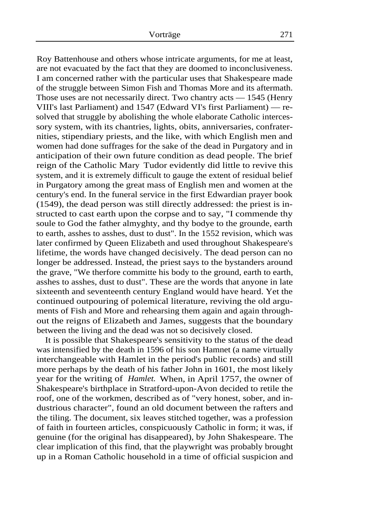Roy Battenhouse and others whose intricate arguments, for me at least, are not evacuated by the fact that they are doomed to inconclusiveness. I am concerned rather with the particular uses that Shakespeare made of the struggle between Simon Fish and Thomas More and its aftermath. Those uses are not necessarily direct. Two chantry acts — 1545 (Henry VIII's last Parliament) and 1547 (Edward VI's first Parliament) — resolved that struggle by abolishing the whole elaborate Catholic intercessory system, with its chantries, lights, obits, anniversaries, confraternities, stipendiary priests, and the like, with which English men and women had done suffrages for the sake of the dead in Purgatory and in anticipation of their own future condition as dead people. The brief reign of the Catholic Mary Tudor evidently did little to revive this system, and it is extremely difficult to gauge the extent of residual belief in Purgatory among the great mass of English men and women at the century's end. In the funeral service in the first Edwardian prayer book (1549), the dead person was still directly addressed: the priest is instructed to cast earth upon the corpse and to say, "I commende thy soule to God the father almyghty, and thy bodye to the grounde, earth to earth, asshes to asshes, dust to dust". In the 1552 revision, which was later confirmed by Queen Elizabeth and used throughout Shakespeare's lifetime, the words have changed decisively. The dead person can no longer be addressed. Instead, the priest says to the bystanders around the grave, "We therfore committe his body to the ground, earth to earth, asshes to asshes, dust to dust". These are the words that anyone in late sixteenth and seventeenth century England would have heard. Yet the continued outpouring of polemical literature, reviving the old arguments of Fish and More and rehearsing them again and again throughout the reigns of Elizabeth and James, suggests that the boundary between the living and the dead was not so decisively closed.

It is possible that Shakespeare's sensitivity to the status of the dead was intensified by the death in 1596 of his son Hamnet (a name virtually interchangeable with Hamlet in the period's public records) and still more perhaps by the death of his father John in 1601, the most likely year for the writing of *Hamlet.* When, in April 1757, the owner of Shakespeare's birthplace in Stratford-upon-Avon decided to retile the roof, one of the workmen, described as of "very honest, sober, and industrious character", found an old document between the rafters and the tiling. The document, six leaves stitched together, was a profession of faith in fourteen articles, conspicuously Catholic in form; it was, if genuine (for the original has disappeared), by John Shakespeare. The clear implication of this find, that the playwright was probably brought up in a Roman Catholic household in a time of official suspicion and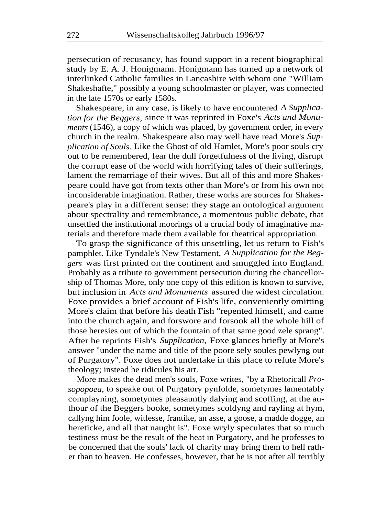persecution of recusancy, has found support in a recent biographical study by E. A. J. Honigmann. Honigmann has turned up a network of interlinked Catholic families in Lancashire with whom one "William Shakeshafte," possibly a young schoolmaster or player, was connected in the late 1570s or early 1580s.

Shakespeare, in any case, is likely to have encountered *A Supplication for the Beggers,* since it was reprinted in Foxe's *Acts and Monuments* (1546), a copy of which was placed, by government order, in every church in the realm. Shakespeare also may well have read More's *Supplication of Souls.* Like the Ghost of old Hamlet, More's poor souls cry out to be remembered, fear the dull forgetfulness of the living, disrupt the corrupt ease of the world with horrifying tales of their sufferings, lament the remarriage of their wives. But all of this and more Shakespeare could have got from texts other than More's or from his own not inconsiderable imagination. Rather, these works are sources for Shakespeare's play in a different sense: they stage an ontological argument about spectrality and remembrance, a momentous public debate, that unsettled the institutional moorings of a crucial body of imaginative materials and therefore made them available for theatrical appropriation.

To grasp the significance of this unsettling, let us return to Fish's pamphlet. Like Tyndale's New Testament, *A Supplication for the Beggers* was first printed on the continent and smuggled into England. Probably as a tribute to government persecution during the chancellorship of Thomas More, only one copy of this edition is known to survive, but inclusion in *Acts and Monuments* assured the widest circulation. Foxe provides a brief account of Fish's life, conveniently omitting More's claim that before his death Fish "repented himself, and came into the church again, and forswore and forsook all the whole hill of those heresies out of which the fountain of that same good zele sprang". After he reprints Fish's *Supplication,* Foxe glances briefly at More's answer "under the name and title of the poore sely soules pewlyng out of Purgatory". Foxe does not undertake in this place to refute More's theology; instead he ridicules his art.

More makes the dead men's souls, Foxe writes, "by a Rhetoricall *Prosopopoea,* to speake out of Purgatory pynfolde, sometymes lamentably complayning, sometymes pleasauntly dalying and scoffing, at the authour of the Beggers booke, sometymes scoldyng and rayling at hym, callyng him foole, witlesse, frantike, an asse, a goose, a madde dogge, an hereticke, and all that naught is". Foxe wryly speculates that so much testiness must be the result of the heat in Purgatory, and he professes to be concerned that the souls' lack of charity may bring them to hell rather than to heaven. He confesses, however, that he is not after all terribly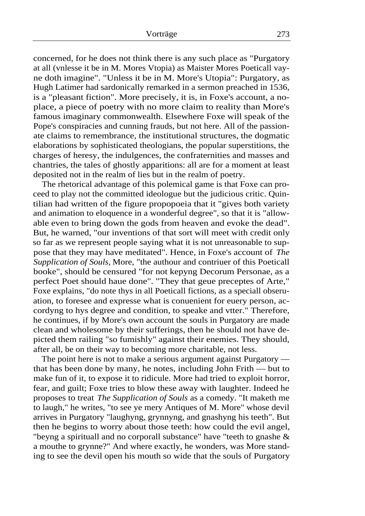concerned, for he does not think there is any such place as "Purgatory at all (vnlesse it be in M. Mores Vtopia) as Maister Mores Poeticall vayne doth imagine". "Unless it be in M. More's Utopia": Purgatory, as Hugh Latimer had sardonically remarked in a sermon preached in 1536, is a "pleasant fiction". More precisely, it is, in Foxe's account, a noplace, a piece of poetry with no more claim to reality than More's famous imaginary commonwealth. Elsewhere Foxe will speak of the Pope's conspiracies and cunning frauds, but not here. All of the passionate claims to remembrance, the institutional structures, the dogmatic elaborations by sophisticated theologians, the popular superstitions, the charges of heresy, the indulgences, the confraternities and masses and chantries, the tales of ghostly apparitions: all are for a moment at least deposited not in the realm of lies but in the realm of poetry.

The rhetorical advantage of this polemical game is that Foxe can proceed to play not the committed ideologue but the judicious critic. Quintilian had written of the figure propopoeia that it "gives both variety and animation to eloquence in a wonderful degree", so that it is "allowable even to bring down the gods from heaven and evoke the dead". But, he warned, "our inventions of that sort will meet with credit only so far as we represent people saying what it is not unreasonable to suppose that they may have meditated". Hence, in Foxe's account of *The Supplication of Souls,* More, "the authour and contriuer of this Poeticall booke", should be censured "for not kepyng Decorum Personae, as a perfect Poet should haue done". "They that geue preceptes of Arte," Foxe explains, "do note thys in all Poeticall fictions, as a speciall obseruation, to foresee and expresse what is conuenient for euery person, accordyng to hys degree and condition, to speake and vtter." Therefore, he continues, if by More's own account the souls in Purgatory are made clean and wholesome by their sufferings, then he should not have depicted them railing "so fumishly" against their enemies. They should, after all, be on their way to becoming more charitable, not less.

The point here is not to make a serious argument against Purgatory that has been done by many, he notes, including John Frith — but to make fun of it, to expose it to ridicule. More had tried to exploit horror, fear, and guilt; Foxe tries to blow these away with laughter. Indeed he proposes to treat *The Supplication of Souls* as a comedy. "It maketh me to laugh," he writes, "to see ye mery Antiques of M. More" whose devil arrives in Purgatory "laughyng, grynnyng, and gnashyng his teeth". But then he begins to worry about those teeth: how could the evil angel, "beyng a spirituall and no corporall substance" have "teeth to gnashe & a mouthe to grynne?" And where exactly, he wonders, was More standing to see the devil open his mouth so wide that the souls of Purgatory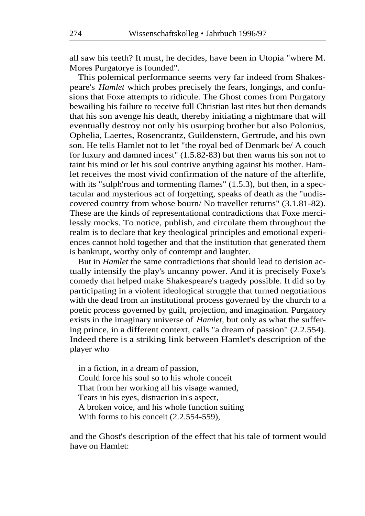all saw his teeth? It must, he decides, have been in Utopia "where M. Mores Purgatorye is founded".

This polemical performance seems very far indeed from Shakespeare's *Hamlet* which probes precisely the fears, longings, and confusions that Foxe attempts to ridicule. The Ghost comes from Purgatory bewailing his failure to receive full Christian last rites but then demands that his son avenge his death, thereby initiating a nightmare that will eventually destroy not only his usurping brother but also Polonius, Ophelia, Laertes, Rosencrantz, Guildenstern, Gertrude, and his own son. He tells Hamlet not to let "the royal bed of Denmark be/ A couch for luxury and damned incest" (1.5.82-83) but then warns his son not to taint his mind or let his soul contrive anything against his mother. Hamlet receives the most vivid confirmation of the nature of the afterlife, with its "sulph'rous and tormenting flames" (1.5.3), but then, in a spectacular and mysterious act of forgetting, speaks of death as the "undiscovered country from whose bourn/ No traveller returns" (3.1.81-82). These are the kinds of representational contradictions that Foxe mercilessly mocks. To notice, publish, and circulate them throughout the realm is to declare that key theological principles and emotional experiences cannot hold together and that the institution that generated them is bankrupt, worthy only of contempt and laughter.

But in *Hamlet* the same contradictions that should lead to derision actually intensify the play's uncanny power. And it is precisely Foxe's comedy that helped make Shakespeare's tragedy possible. It did so by participating in a violent ideological struggle that turned negotiations with the dead from an institutional process governed by the church to a poetic process governed by guilt, projection, and imagination. Purgatory exists in the imaginary universe of *Hamlet,* but only as what the suffering prince, in a different context, calls "a dream of passion" (2.2.554). Indeed there is a striking link between Hamlet's description of the player who

in a fiction, in a dream of passion, Could force his soul so to his whole conceit That from her working all his visage wanned, Tears in his eyes, distraction in's aspect, A broken voice, and his whole function suiting With forms to his conceit (2.2.554-559),

and the Ghost's description of the effect that his tale of torment would have on Hamlet: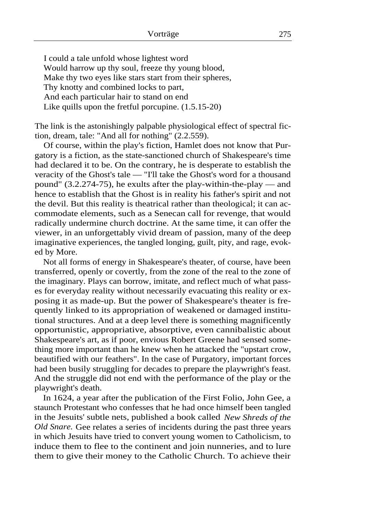I could a tale unfold whose lightest word Would harrow up thy soul, freeze thy young blood, Make thy two eyes like stars start from their spheres, Thy knotty and combined locks to part, And each particular hair to stand on end Like quills upon the fretful porcupine.  $(1.5.15-20)$ 

The link is the astonishingly palpable physiological effect of spectral fiction, dream, tale: "And all for nothing" (2.2.559).

Of course, within the play's fiction, Hamlet does not know that Purgatory is a fiction, as the state-sanctioned church of Shakespeare's time had declared it to be. On the contrary, he is desperate to establish the veracity of the Ghost's tale — "I'll take the Ghost's word for a thousand pound" (3.2.274-75), he exults after the play-within-the-play — and hence to establish that the Ghost is in reality his father's spirit and not the devil. But this reality is theatrical rather than theological; it can accommodate elements, such as a Senecan call for revenge, that would radically undermine church doctrine. At the same time, it can offer the viewer, in an unforgettably vivid dream of passion, many of the deep imaginative experiences, the tangled longing, guilt, pity, and rage, evoked by More.

Not all forms of energy in Shakespeare's theater, of course, have been transferred, openly or covertly, from the zone of the real to the zone of the imaginary. Plays can borrow, imitate, and reflect much of what passes for everyday reality without necessarily evacuating this reality or exposing it as made-up. But the power of Shakespeare's theater is frequently linked to its appropriation of weakened or damaged institutional structures. And at a deep level there is something magnificently opportunistic, appropriative, absorptive, even cannibalistic about Shakespeare's art, as if poor, envious Robert Greene had sensed something more important than he knew when he attacked the "upstart crow, beautified with our feathers". In the case of Purgatory, important forces had been busily struggling for decades to prepare the playwright's feast. And the struggle did not end with the performance of the play or the playwright's death.

In 1624, a year after the publication of the First Folio, John Gee, a staunch Protestant who confesses that he had once himself been tangled in the Jesuits' subtle nets, published a book called *New Shreds of the Old Snare.* Gee relates a series of incidents during the past three years in which Jesuits have tried to convert young women to Catholicism, to induce them to flee to the continent and join nunneries, and to lure them to give their money to the Catholic Church. To achieve their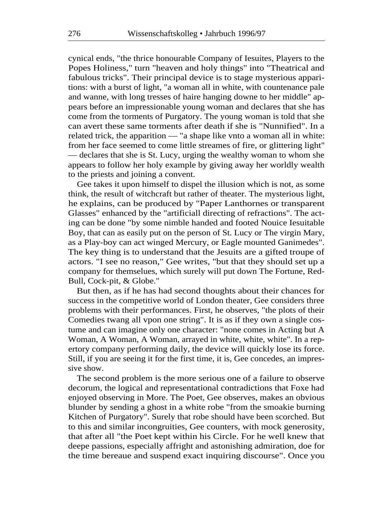cynical ends, "the thrice honourable Company of Iesuites, Players to the Popes Holiness," turn "heaven and holy things" into "Theatrical and fabulous tricks". Their principal device is to stage mysterious apparitions: with a burst of light, "a woman all in white, with countenance pale and wanne, with long tresses of haire hanging downe to her middle" appears before an impressionable young woman and declares that she has come from the torments of Purgatory. The young woman is told that she can avert these same torments after death if she is "Nunnified". In a related trick, the apparition — "a shape like vnto a woman all in white: from her face seemed to come little streames of fire, or glittering light" — declares that she is St. Lucy, urging the wealthy woman to whom she appears to follow her holy example by giving away her worldly wealth to the priests and joining a convent.

Gee takes it upon himself to dispel the illusion which is not, as some think, the result of witchcraft but rather of theater. The mysterious light, he explains, can be produced by "Paper Lanthornes or transparent Glasses" enhanced by the "artificiall directing of refractions". The acting can be done "by some nimble handed and footed Nouice Iesuitable Boy, that can as easily put on the person of St. Lucy or The virgin Mary, as a Play-boy can act winged Mercury, or Eagle mounted Ganimedes". The key thing is to understand that the Jesuits are a gifted troupe of actors. "I see no reason," Gee writes, "but that they should set up a company for themselues, which surely will put down The Fortune, Red-Bull, Cock-pit, & Globe."

But then, as if he has had second thoughts about their chances for success in the competitive world of London theater, Gee considers three problems with their performances. First, he observes, "the plots of their Comedies twang all vpon one string". It is as if they own a single costume and can imagine only one character: "none comes in Acting but A Woman, A Woman, A Woman, arrayed in white, white, white". In a repertory company performing daily, the device will quickly lose its force. Still, if you are seeing it for the first time, it is, Gee concedes, an impressive show.

The second problem is the more serious one of a failure to observe decorum, the logical and representational contradictions that Foxe had enjoyed observing in More. The Poet, Gee observes, makes an obvious blunder by sending a ghost in a white robe "from the smoakie burning Kitchen of Purgatory". Surely that robe should have been scorched. But to this and similar incongruities, Gee counters, with mock generosity, that after all "the Poet kept within his Circle. For he well knew that deepe passions, especially affright and astonishing admiration, doe for the time bereaue and suspend exact inquiring discourse". Once you